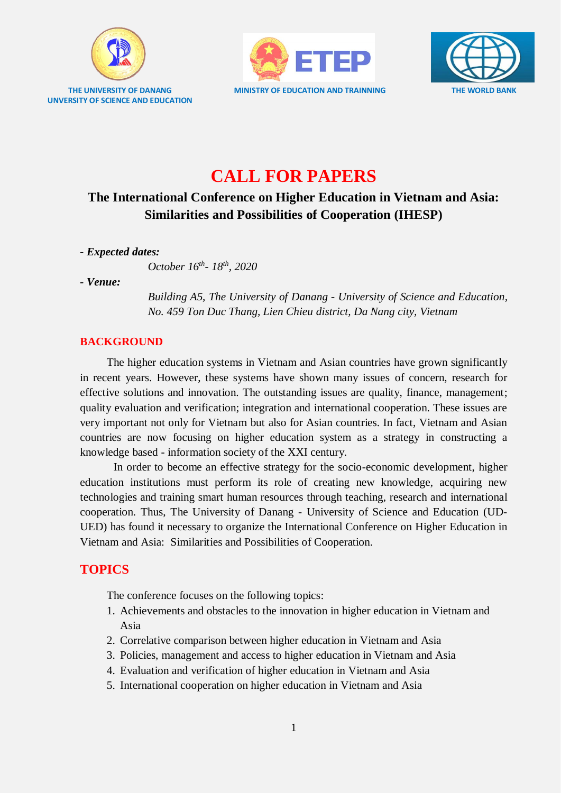

**UNVERSITY OF SCIENCE AND EDUCATION**





# **CALL FOR PAPERS**

## **The International Conference on Higher Education in Vietnam and Asia: Similarities and Possibilities of Cooperation (IHESP)**

*- Expected dates:* 

*October 16th - 18th, 2020*

*- Venue:* 

*Building A5, The University of Danang - University of Science and Education, No. 459 Ton Duc Thang, Lien Chieu district, Da Nang city, Vietnam*

### **BACKGROUND**

The higher education systems in Vietnam and Asian countries have grown significantly in recent years. However, these systems have shown many issues of concern, research for effective solutions and innovation. The outstanding issues are quality, finance, management; quality evaluation and verification; integration and international cooperation. These issues are very important not only for Vietnam but also for Asian countries. In fact, Vietnam and Asian countries are now focusing on higher education system as a strategy in constructing a knowledge based - information society of the XXI century.

In order to become an effective strategy for the socio-economic development, higher education institutions must perform its role of creating new knowledge, acquiring new technologies and training smart human resources through teaching, research and international cooperation. Thus, The University of Danang - University of Science and Education (UD-UED) has found it necessary to organize the International Conference on Higher Education in Vietnam and Asia: Similarities and Possibilities of Cooperation.

## **TOPICS**

The conference focuses on the following topics:

- 1. Achievements and obstacles to the innovation in higher education in Vietnam and Asia
- 2. Correlative comparison between higher education in Vietnam and Asia
- 3. Policies, management and access to higher education in Vietnam and Asia
- 4. Evaluation and verification of higher education in Vietnam and Asia
- 5. International cooperation on higher education in Vietnam and Asia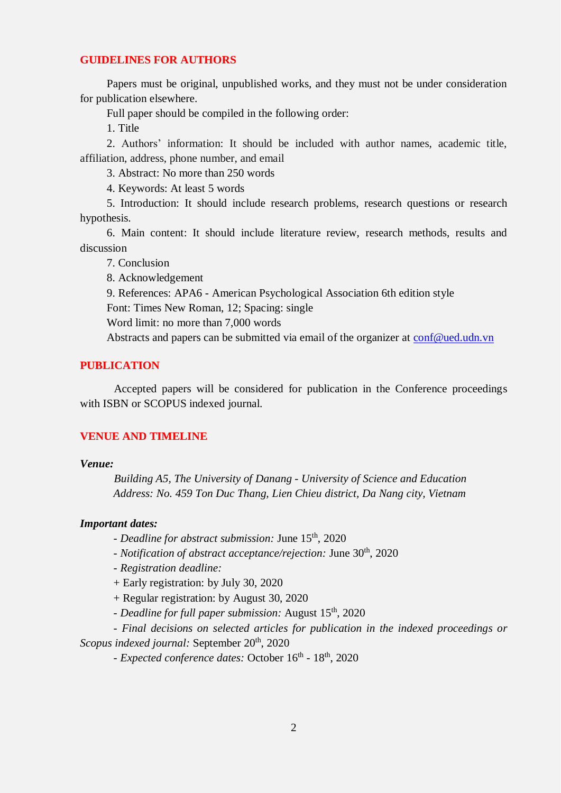#### **GUIDELINES FOR AUTHORS**

Papers must be original, unpublished works, and they must not be under consideration for publication elsewhere.

Full paper should be compiled in the following order:

1. Title

2. Authors' information: It should be included with author names, academic title, affiliation, address, phone number, and email

3. Abstract: No more than 250 words

4. Keywords: At least 5 words

5. Introduction: It should include research problems, research questions or research hypothesis.

6. Main content: It should include literature review, research methods, results and discussion

7. Conclusion

8. Acknowledgement

9. References: APA6 - American Psychological Association 6th edition style

Font: Times New Roman, 12; Spacing: single

Word limit: no more than 7,000 words

Abstracts and papers can be submitted via email of the organizer at [conf@ued.udn.vn](mailto:conf@ued.udn.vn)

#### **PUBLICATION**

Accepted papers will be considered for publication in the Conference proceedings with ISBN or SCOPUS indexed journal.

#### **VENUE AND TIMELINE**

#### *Venue:*

*Building A5, The University of Danang - University of Science and Education Address: No. 459 Ton Duc Thang, Lien Chieu district, Da Nang city, Vietnam*

#### *Important dates:*

*- Deadline for abstract submission:* June 15th , 2020

- *Notification of abstract acceptance/rejection:* June 30<sup>th</sup>, 2020

*- Registration deadline:*

+ Early registration: by July 30, 2020

+ Regular registration: by August 30, 2020

*- Deadline for full paper submission:* August 15th , 2020

- *Final decisions on selected articles for publication in the indexed proceedings or Scopus indexed journal:* September 20<sup>th</sup>, 2020

- *Expected conference dates:* October 16<sup>th</sup> - 18<sup>th</sup>, 2020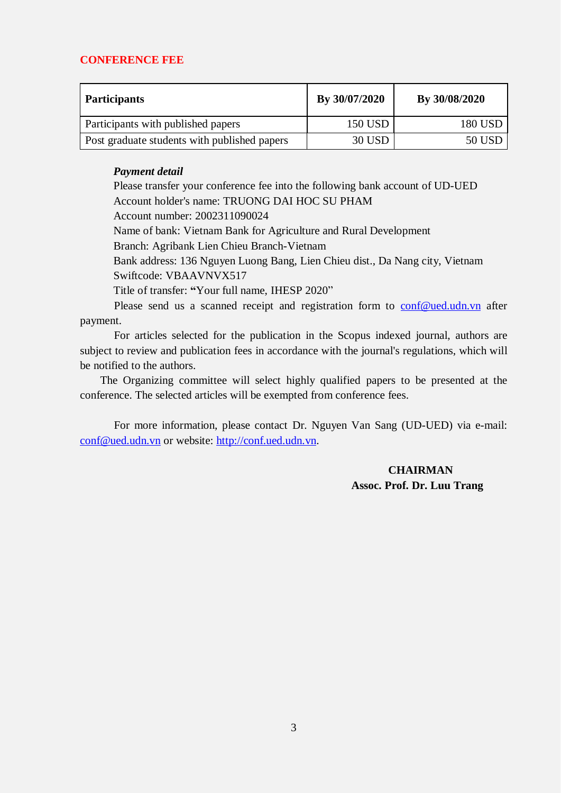#### **CONFERENCE FEE**

| <b>Participants</b>                          | By 30/07/2020  | By 30/08/2020  |
|----------------------------------------------|----------------|----------------|
| Participants with published papers           | <b>150 USD</b> | <b>180 USD</b> |
| Post graduate students with published papers | <b>30 USD</b>  | 50 USD         |

#### *Payment detail*

Please transfer your conference fee into the following bank account of UD-UED Account holder's name: TRUONG DAI HOC SU PHAM Account number: 2002311090024 Name of bank: Vietnam Bank for Agriculture and Rural Development Branch: Agribank Lien Chieu Branch-Vietnam Bank address: 136 Nguyen Luong Bang, Lien Chieu dist., Da Nang city, Vietnam Swiftcode: VBAAVNVX517 Title of transfer: **"**Your full name, IHESP 2020" Please send us a scanned receipt and registration form to [conf@ued.udn.vn](mailto:conf@ued.udn.vn) after

payment.

For articles selected for the publication in the Scopus indexed journal, authors are subject to review and publication fees in accordance with the journal's regulations, which will be notified to the authors.

The Organizing committee will select highly qualified papers to be presented at the conference. The selected articles will be exempted from conference fees.

For more information, please contact Dr. Nguyen Van Sang (UD-UED) via e-mail: [conf@ued.udn.vn](mailto:conf@ued.udn.vn) or website: [http://conf.ued.udn.vn.](http://conf.ued.udn.vn/)

### **CHAIRMAN Assoc. Prof. Dr. Luu Trang**